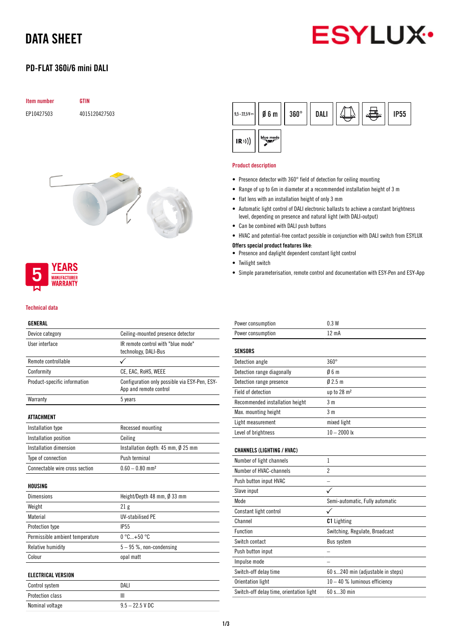# DATA SHEET



## PD-FLAT 360i/6 mini DALI







#### Technical data

## GENERAL

| Device category                 | Ceiling-mounted presence detector                                       |
|---------------------------------|-------------------------------------------------------------------------|
| User interface                  | IR remote control with "blue mode"<br>technology, DALI-Bus              |
| Remote controllable             |                                                                         |
| Conformity                      | CE, EAC, RoHS, WEEE                                                     |
| Product-specific information    | Configuration only possible via ESY-Pen, ESY-<br>App and remote control |
| Warranty                        | 5 years                                                                 |
| <b>ATTACHMENT</b>               |                                                                         |
| Installation type               | Recessed mounting                                                       |
| Installation position           | Ceiling                                                                 |
| Installation dimension          | Installation depth: $45$ mm, $\emptyset$ 25 mm                          |
| Type of connection              | Push terminal                                                           |
| Connectable wire cross section  | $0.60 - 0.80$ mm <sup>2</sup>                                           |
| HOUSING                         |                                                                         |
| <b>Dimensions</b>               | Height/Depth 48 mm, $\emptyset$ 33 mm                                   |
| Weight                          | 21 <sub>g</sub>                                                         |
| Material                        | <b>UV-stabilised PE</b>                                                 |
| Protection type                 | <b>IP55</b>                                                             |
| Permissible ambient temperature | $0^{\circ}$ C +50 $^{\circ}$ C                                          |
| Relative humidity               | $5 - 95$ %, non-condensing                                              |
| Colour                          | opal matt                                                               |
| <b>ELECTRICAL VERSION</b>       |                                                                         |
| Control system                  | DALI                                                                    |
| Protection class                | Ш                                                                       |
| Nominal voltage                 | $9.5 - 22.5$ V DC                                                       |

| $ 9.5 - 22.5 \,\nu -  $ 06 m |           | $360^\circ$ | <b>DALI</b> |  | <b>IP55</b> |
|------------------------------|-----------|-------------|-------------|--|-------------|
| (R))                         | blue mode |             |             |  |             |

#### Product description

- Presence detector with 360° field of detection for ceiling mounting
- Range of up to 6m in diameter at a recommended installation height of 3 m
- flat lens with an installation height of only 3 mm
- Automatic light control of DALI electronic ballasts to achieve a constant brightness level, depending on presence and natural light (with DALI-output)
- Can be combined with DALI push buttons
- HVAC and potential-free contact possible in conjunction with DALI switch from ESYLUX

### Offers special product features like:

- Presence and daylight dependent constant light control
- Twilight switch
- Simple parameterisation, remote control and documentation with ESY-Pen and ESY-App

| Power consumption                 | 0.3W                              |
|-----------------------------------|-----------------------------------|
| Power consumption                 | 12 mA                             |
| <b>SENSORS</b>                    |                                   |
| Detection angle                   | $360^\circ$                       |
| Detection range diagonally        | 06m                               |
| Detection range presence          | 02.5m                             |
| Field of detection                | up to 28 m <sup>2</sup>           |
| Recommended installation height   | 3 <sub>m</sub>                    |
| Max. mounting height              | 3 <sub>m</sub>                    |
| Light measurement                 | mixed light                       |
| Level of brightness               | $10 - 2000$ lx                    |
| <b>CHANNELS (LIGHTING / HVAC)</b> |                                   |
| Number of light channels          | 1                                 |
| Number of HVAC-channels           | $\overline{2}$                    |
| Push button input HVAC            |                                   |
| Slave input                       | $\checkmark$                      |
| Mode                              | Semi-automatic, Fully automatic   |
| Constant light control            | ✓                                 |
| Channel                           | <b>C1</b> Lighting                |
| <b>Function</b>                   | Switching, Regulate, Broadcast    |
| Switch contact                    | <b>Bus system</b>                 |
| Push button input                 |                                   |
| Impulse mode                      |                                   |
| Switch-off delay time             | 60 s240 min (adjustable in steps) |

Orientation light 10 – 40 % luminous efficiency

Switch-off delay time, orientation light 60 s...30 min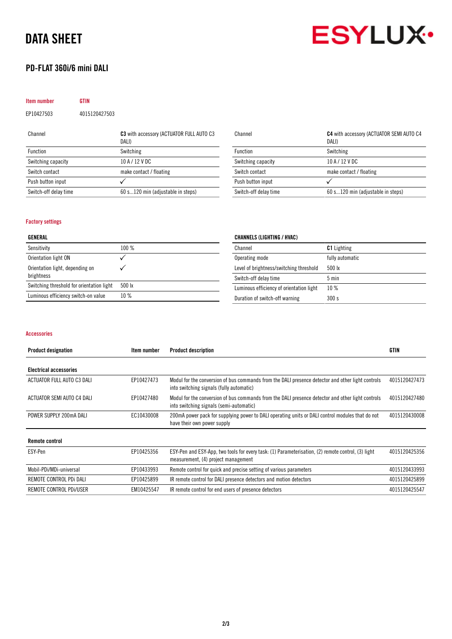# DATA SHEET

## PD-FLAT 360i/6 mini DALI



| <b>Item number</b> | <b>GTIN</b>   |                                                   |
|--------------------|---------------|---------------------------------------------------|
| EP10427503         | 4015120427503 |                                                   |
| Channel            |               | C3 with accessory (ACTUATOR FULL AUTO C3<br>DALI) |
| Function           |               | Switching                                         |
| Switching capacity |               | 10 A / 12 V DC                                    |

Switch-off delay time 60 s...120 min (adjustable in steps)

Switch contact make contact / floating

Push button input  $\checkmark$ 

| Channel               | C4 with accessory (ACTUATOR SEMI AUTO C4<br>DALI) |
|-----------------------|---------------------------------------------------|
| Function              | Switching                                         |
| Switching capacity    | 10 A / 12 V DC                                    |
| Switch contact        | make contact / floating                           |
| Push button input     |                                                   |
| Switch-off delay time | 60 s120 min (adjustable in steps)                 |

### Factory settings

| GENERAL                                   |         | <b>CHANNELS (LIGHTING / HVAC)</b>        |                    |  |
|-------------------------------------------|---------|------------------------------------------|--------------------|--|
| Sensitivity                               | $100\%$ | Channel                                  | <b>C1</b> Lighting |  |
| Orientation light ON                      |         | Operating mode                           | fully automatic    |  |
| Orientation light, depending on           |         | Level of brightness/switching threshold  | 500 lx             |  |
| brightness                                |         | Switch-off delay time                    | $5 \text{ min}$    |  |
| Switching threshold for orientation light | 500 lx  | Luminous efficiency of orientation light | $10\%$             |  |
| Luminous efficiency switch-on value       | $10\%$  | Duration of switch-off warning           | 300 s              |  |

#### Accessories

| <b>Product designation</b>    | Item number | <b>Product description</b>                                                                                                                    | <b>GTIN</b>   |
|-------------------------------|-------------|-----------------------------------------------------------------------------------------------------------------------------------------------|---------------|
| <b>Electrical accessories</b> |             |                                                                                                                                               |               |
| ACTUATOR FULL AUTO C3 DALI    | EP10427473  | Modul for the conversion of bus commands from the DALI presence detector and other light controls<br>into switching signals (fully automatic) | 4015120427473 |
| ACTUATOR SEMI AUTO C4 DALI    | EP10427480  | Modul for the conversion of bus commands from the DALI presence detector and other light controls<br>into switching signals (semi-automatic)  | 4015120427480 |
| POWER SUPPLY 200mA DALI       | EC10430008  | 200 mA power pack for supplying power to DALI operating units or DALI control modules that do not<br>have their own power supply              | 4015120430008 |
| <b>Remote control</b>         |             |                                                                                                                                               |               |
| ESY-Pen                       | EP10425356  | ESY-Pen and ESY-App, two tools for every task: (1) Parameterisation, (2) remote control, (3) light<br>measurement, (4) project management     | 4015120425356 |
| Mobil-PDi/MDi-universal       | EP10433993  | Remote control for quick and precise setting of various parameters                                                                            | 4015120433993 |
| REMOTE CONTROL PDi DALI       | EP10425899  | IR remote control for DALI presence detectors and motion detectors                                                                            | 4015120425899 |
| REMOTE CONTROL PDI/USER       | EM10425547  | IR remote control for end users of presence detectors                                                                                         | 4015120425547 |